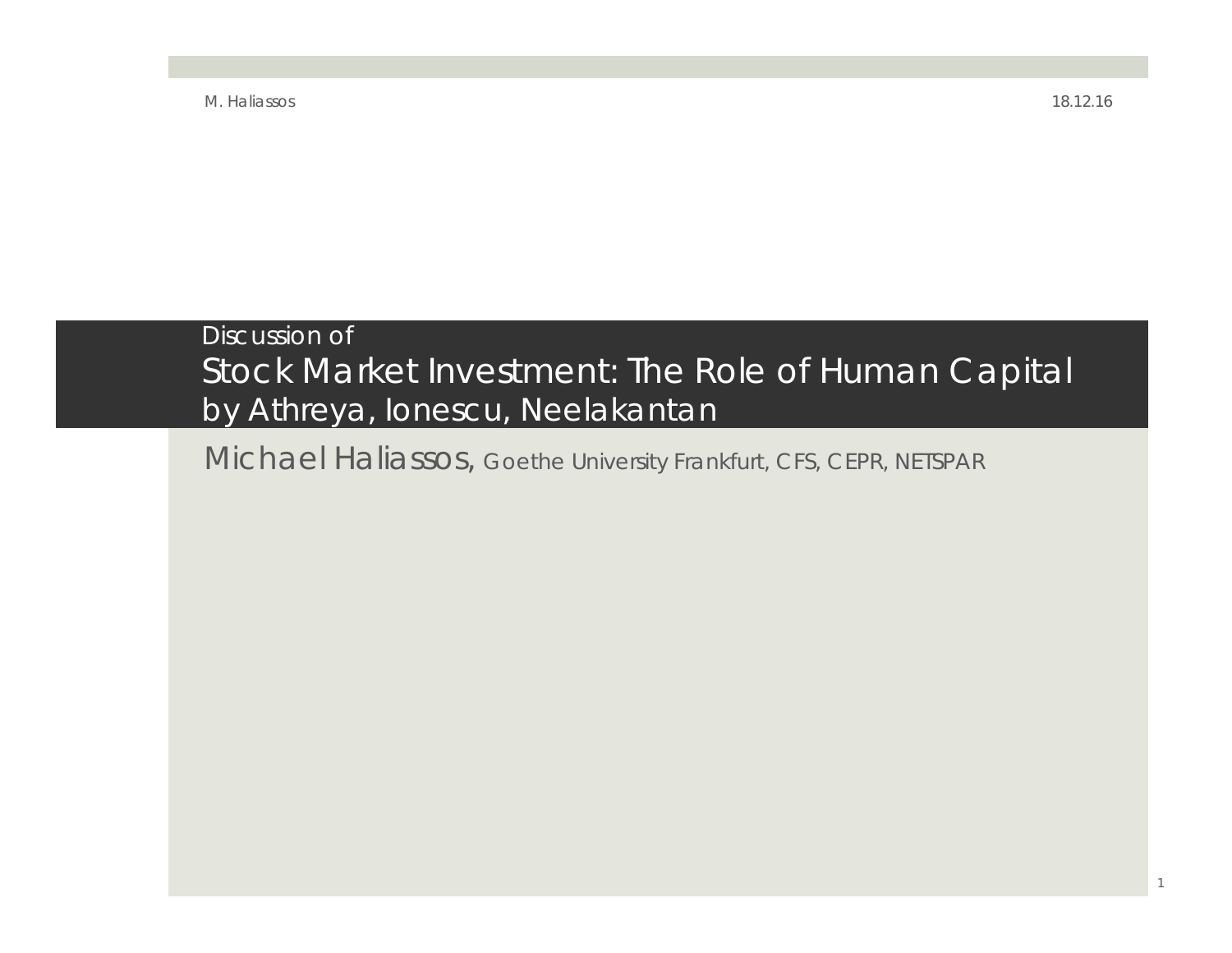#### Discussion of Stock Market Investment: The Role of Human Capital by Athreya, Ionescu, Neelakantan

Michael Haliassos, Goethe University Frankfurt, CFS, CEPR, NETSPAR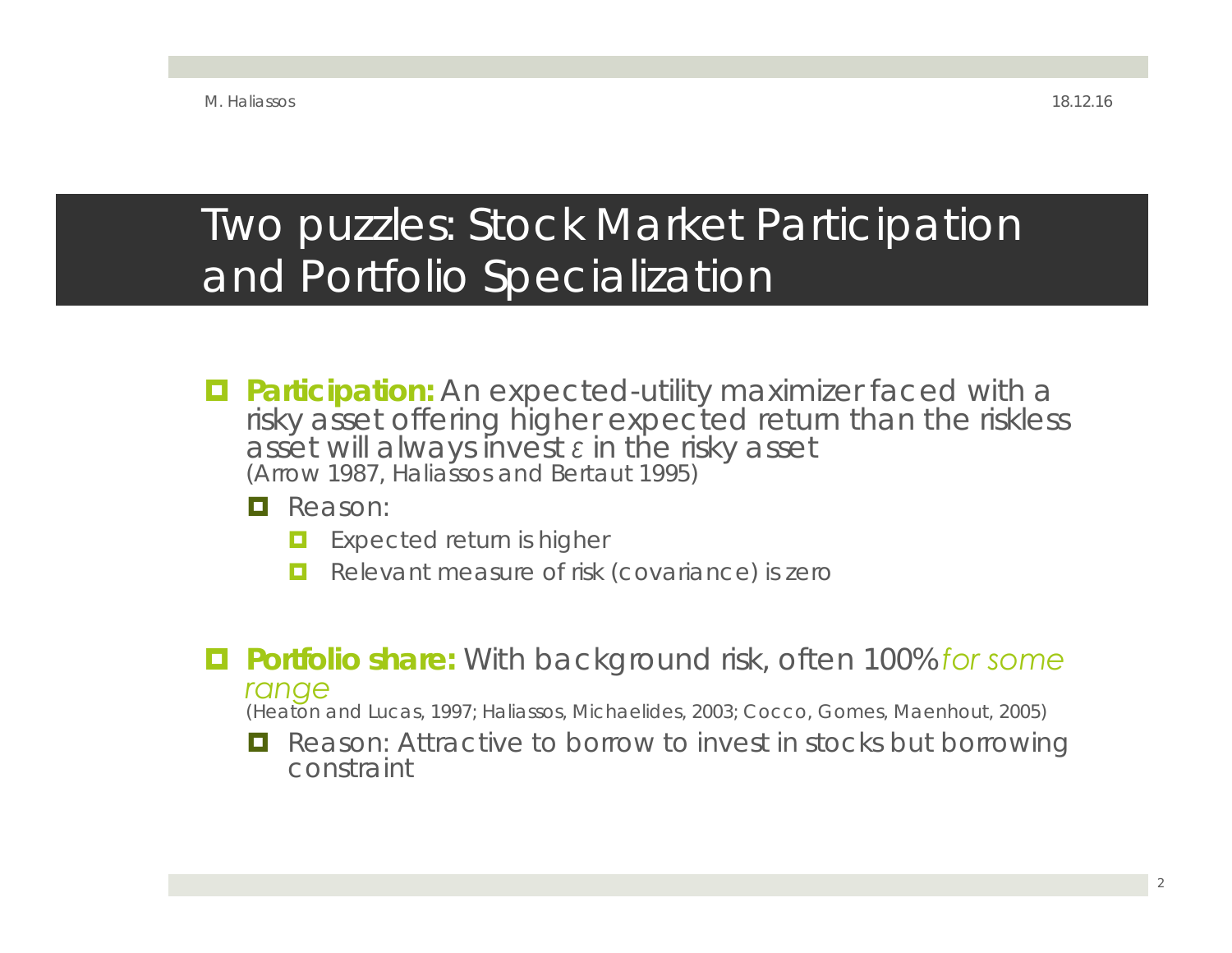### Two puzzles: Stock Market Participation and Portfolio Specialization

- **Participation:** An expected-utility maximizer faced with a risky asset offering higher expected return than the riskless asset will always invest *ε* in the risky asset (Arrow 1987, Haliassos and Bertaut 1995)
	- **Q** Reason:
		- о Expected return is higher
		- $\Box$ Relevant measure of risk (covariance) is zero
- **Portfolio share:** With background risk, often 100% *for some range* (Heaton and Lucas, 1997; Haliassos, Michaelides, 2003; Cocco, Gomes, Maenhout, 2005)
	-
	- **T** Reason: Attractive to borrow to invest in stocks but borrowing constraint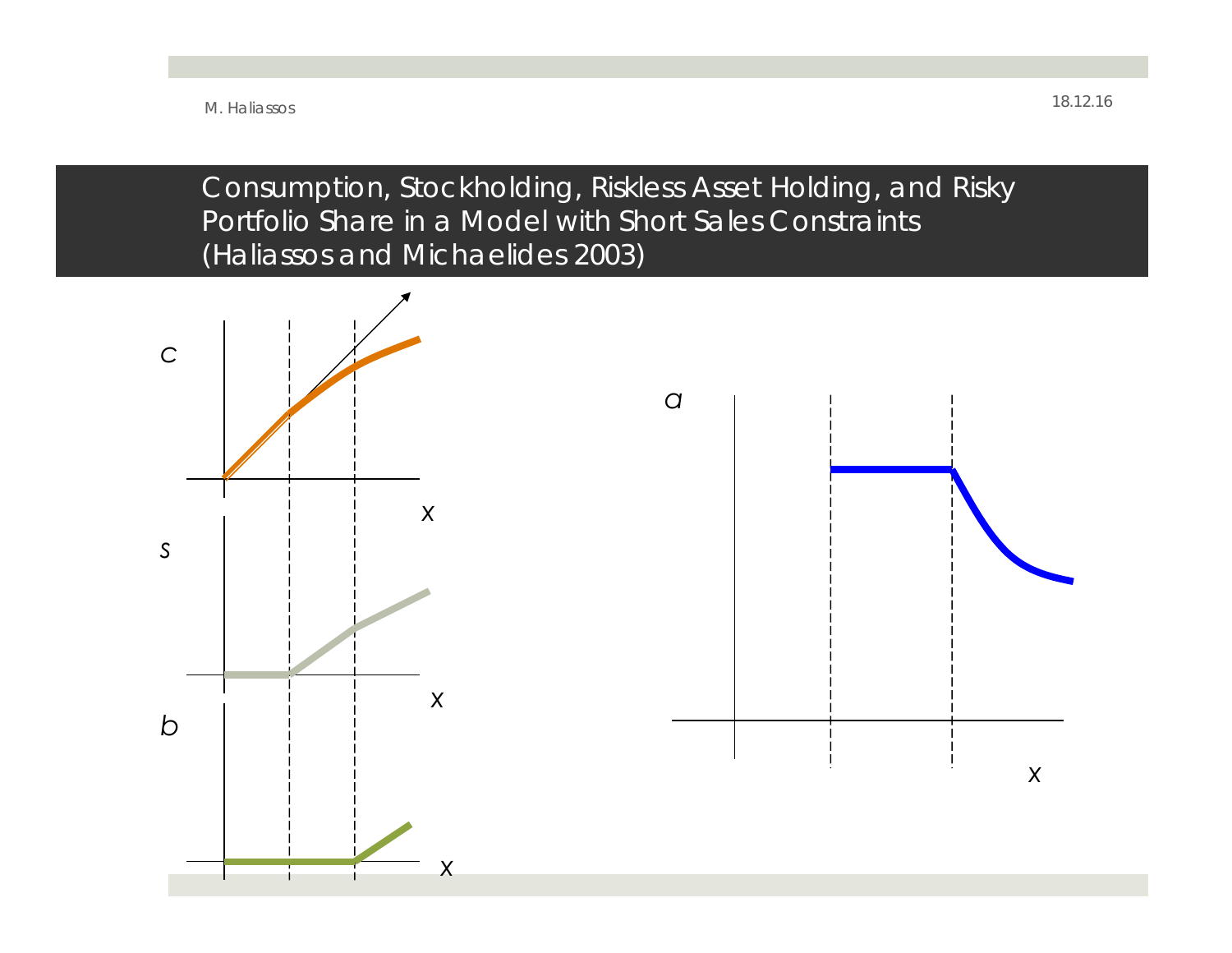Consumption, Stockholding, Riskless Asset Holding, and Risky Portfolio Share in a Model with Short Sales Constraints (Haliassos and Michaelides 2003)

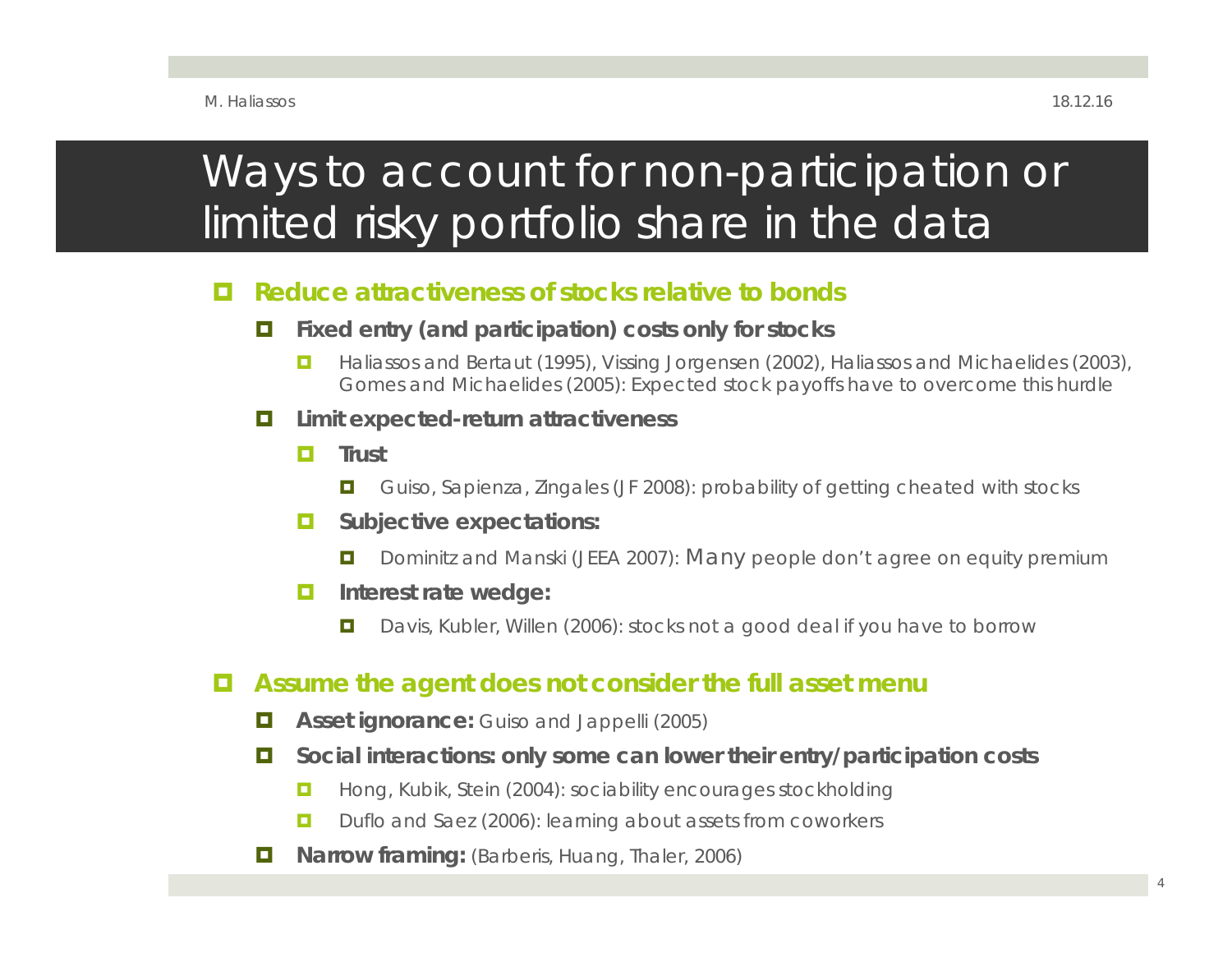## Ways to account for non-participation or limited risky portfolio share in the data

#### о **Reduce attractiveness of stocks relative to bonds**

- $\blacksquare$  **Fixed entry (and participation) costs only for stocks**
	- $\Box$  Haliassos and Bertaut (1995), Vissing Jorgensen (2002), Haliassos and Michaelides (2003), Gomes and Michaelides (2005): Expected stock payoffs have to overcome this hurdle
- D. **Limit expected-return attractiveness**
	- **D Trust**
		- $\Box$ Guiso, Sapienza, Zingales (JF 2008): probability of getting cheated with stocks
	- O **Subjective expectations:** 
		- $\Box$ Dominitz and Manski (JEEA 2007): Many people don't agree on equity premium
	- о **Interest rate wedge:**
		- $\Box$ Davis, Kubler, Willen (2006): stocks not a good deal if you have to borrow

#### о **Assume the agent does not consider the full asset menu**

- Œ. **Asset ignorance:** Guiso and Jappelli (2005)
- D. **Social interactions: only some can lower their entry/participation costs**
	- $\Box$ Hong, Kubik, Stein (2004): sociability encourages stockholding
	- о Duflo and Saez (2006): learning about assets from coworkers
- п **Narrow framing:** (Barberis, Huang, Thaler, 2006)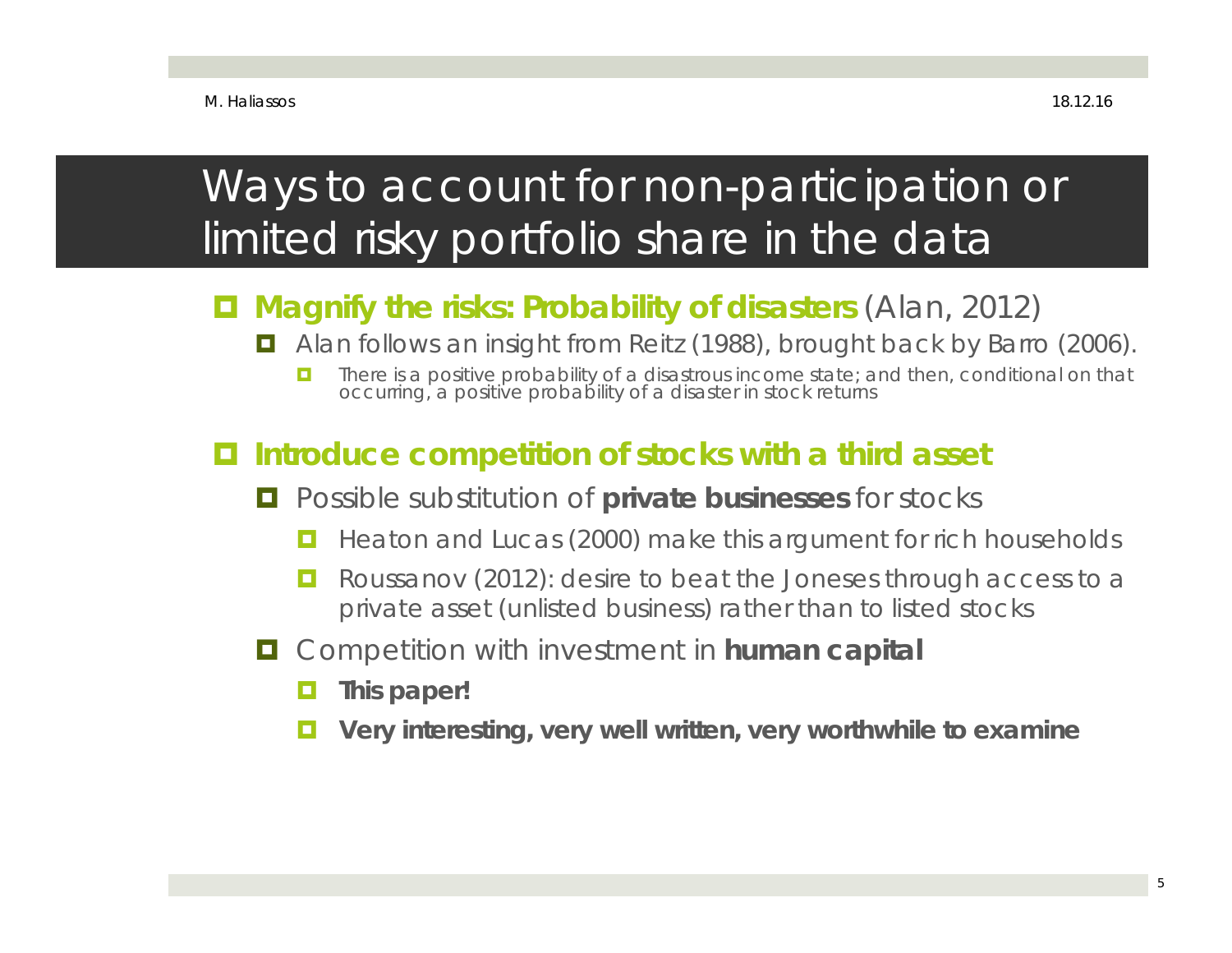## Ways to account for non-participation or limited risky portfolio share in the data

#### $\blacksquare$ **Magnify the risks: Probability of disasters** (Alan, 2012)

- Alan follows an insight from Reitz (1988), brought back by Barro (2006).
	- о There is a positive probability of a disastrous income state; and then, conditional on that occurring, a positive probability of a disaster in stock returns

#### o **Introduce competition of stocks with a third asset**

- o Possible substitution of **private businesses** for stocks
	- о Heaton and Lucas (2000) make this argument for rich households
	- o Roussanov (2012): desire to beat the Joneses through access to a private asset (unlisted business) rather than to listed stocks
- O Competition with investment in **human capital**
	- о **This paper!**
	- $\blacksquare$ **Very interesting, very well written, very worthwhile to examine**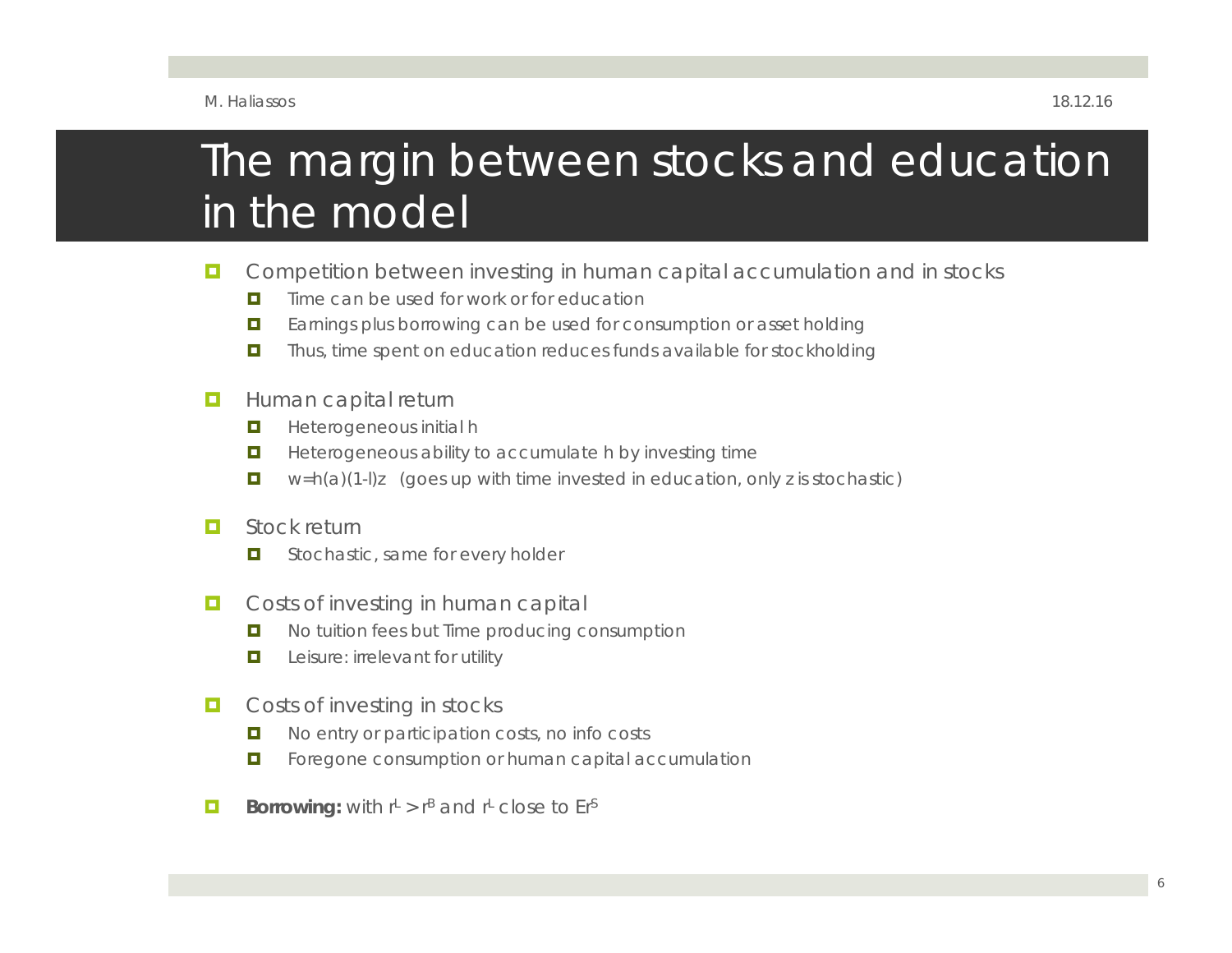### The margin between stocks and education in the model

- П Competition between investing in human capital accumulation and in stocks
	- $\blacksquare$ Time can be used for work or for education
	- $\blacksquare$ Earnings plus borrowing can be used for consumption or asset holding
	- $\blacksquare$ Thus, time spent on education reduces funds available for stockholding
- П Human capital return
	- $\blacksquare$ Heterogeneous initial h
	- $\blacksquare$ Heterogeneous ability to accumulate h by investing time
	- **D**  $w=h(a)(1-l)z$  (goes up with time invested in education, only z is stochastic)
- п Stock return
	- $\blacksquare$ Stochastic, same for every holder
- П Costs of investing in human capital
	- $\blacksquare$ No tuition fees but Time producing consumption
	- $\blacksquare$ Leisure: irrelevant for utility
- $\Box$  Costs of investing in stocks
	- o. No entry or participation costs, no info costs
	- п Foregone consumption or human capital accumulation
- П **Borrowing:** with  $r^L > r^B$  and  $r^L$  close to  $Er^S$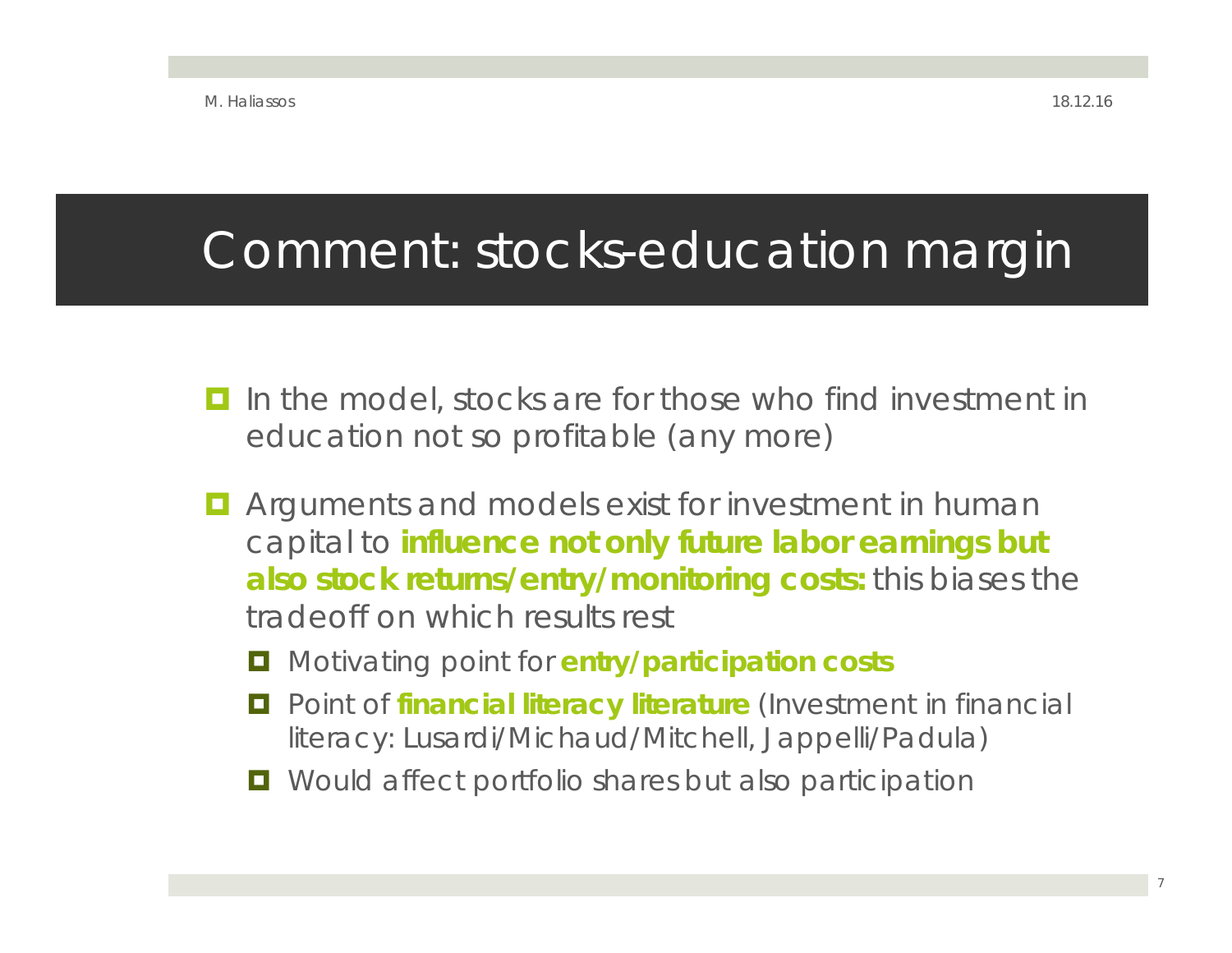## Comment: stocks-education margin

- o In the model, stocks are for those who find investment in education not so profitable (any more)
- $\blacksquare$  Arguments and models exist for investment in human capital to **influence not only future labor earnings but also stock returns/entry/monitoring costs:** this biases the tradeoff on which results rest
	- o Motivating point for **entry/participation costs**
	- $\blacksquare$  Point of *financial literacy literature* (Investment in financial literacy: Lusardi/Michaud/Mitchell, Jappelli/Padula)
	- $\Box$  Would affect portfolio shares but also participation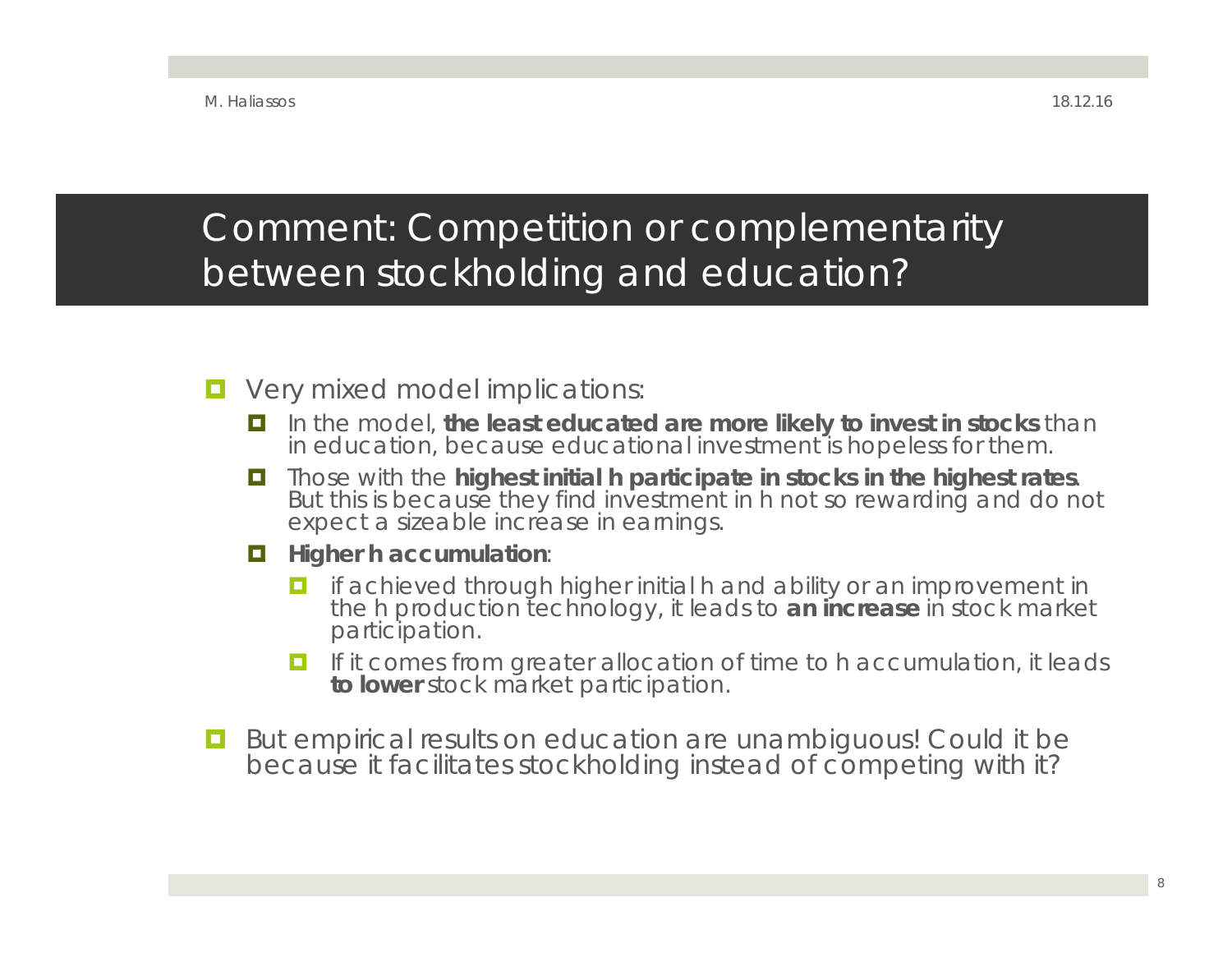### Comment: Competition or complementarity between stockholding and education?

- **D** Very mixed model implications:
	- In the model, **the least educated are more likely to invest in stocks** than in education, because educational investment is hopeless for them.
	- $\blacksquare$  Those with the **highest initial h participate in stocks in the highest rates.** But this is because they find investment in h not so rewarding and do not expect a sizeable increase in earnings.
	- **Higher h accumulation:** 
		- **I** if achieved through higher initial h and ability or an improvement in the h production technology, it leads to **an increase** in stock market participation.
		- **I** If it comes from greater allocation of time to h accumulation, it leads **to lower** stock market participation.
- O. But empirical results on education are unambiguous! Could it be because it facilitates stockholding instead of competing with it?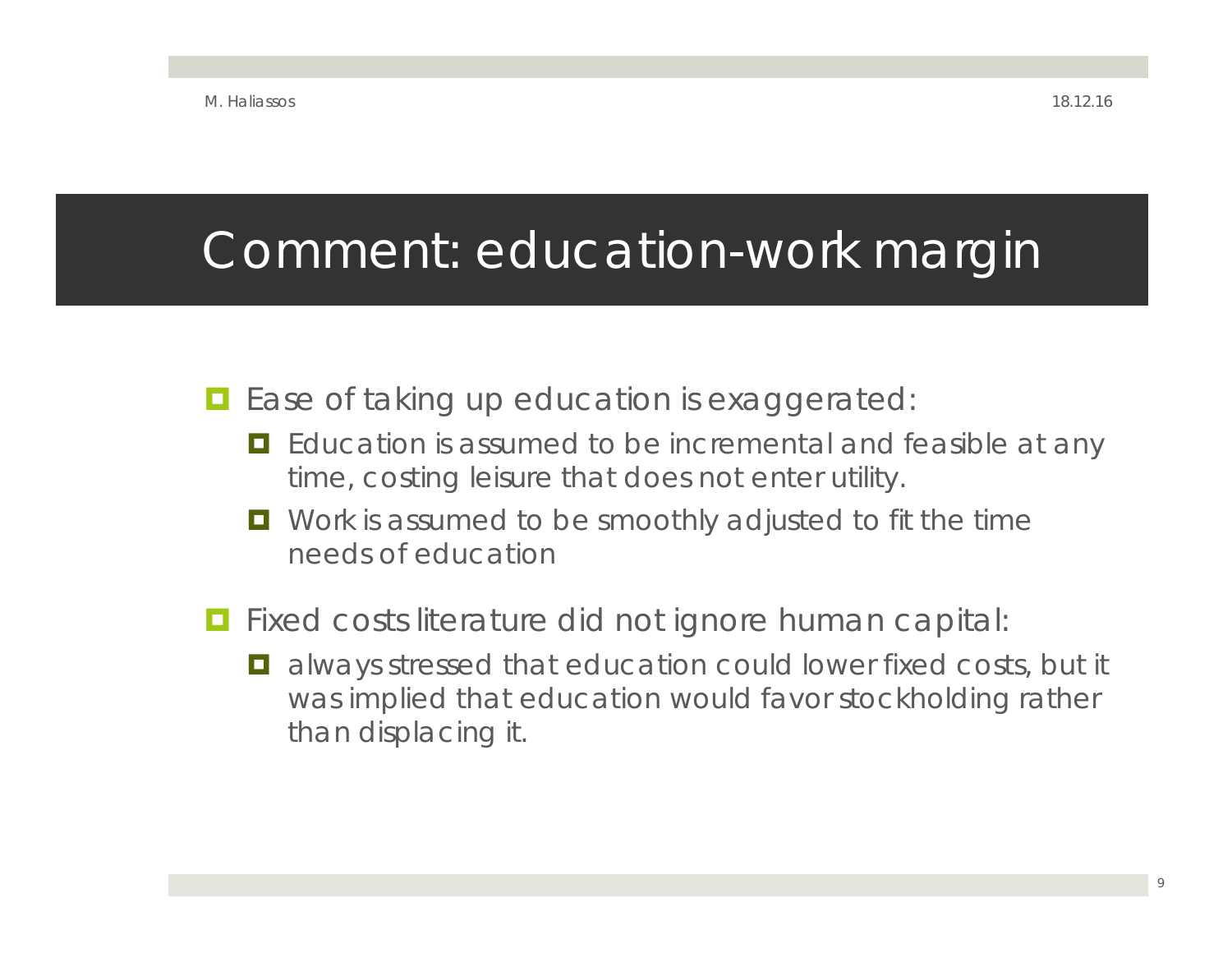## Comment: education-work margin

#### **E** Ease of taking up education is exaggerated:

- **E** Education is assumed to be incremental and feasible at any time, costing leisure that does not enter utility.
- **D** Work is assumed to be smoothly adjusted to fit the time needs of education
- **Fixed costs literature did not ignore human capital:** 
	- $\blacksquare$  always stressed that education could lower fixed costs, but it was implied that education would favor stockholding rather than displacing it.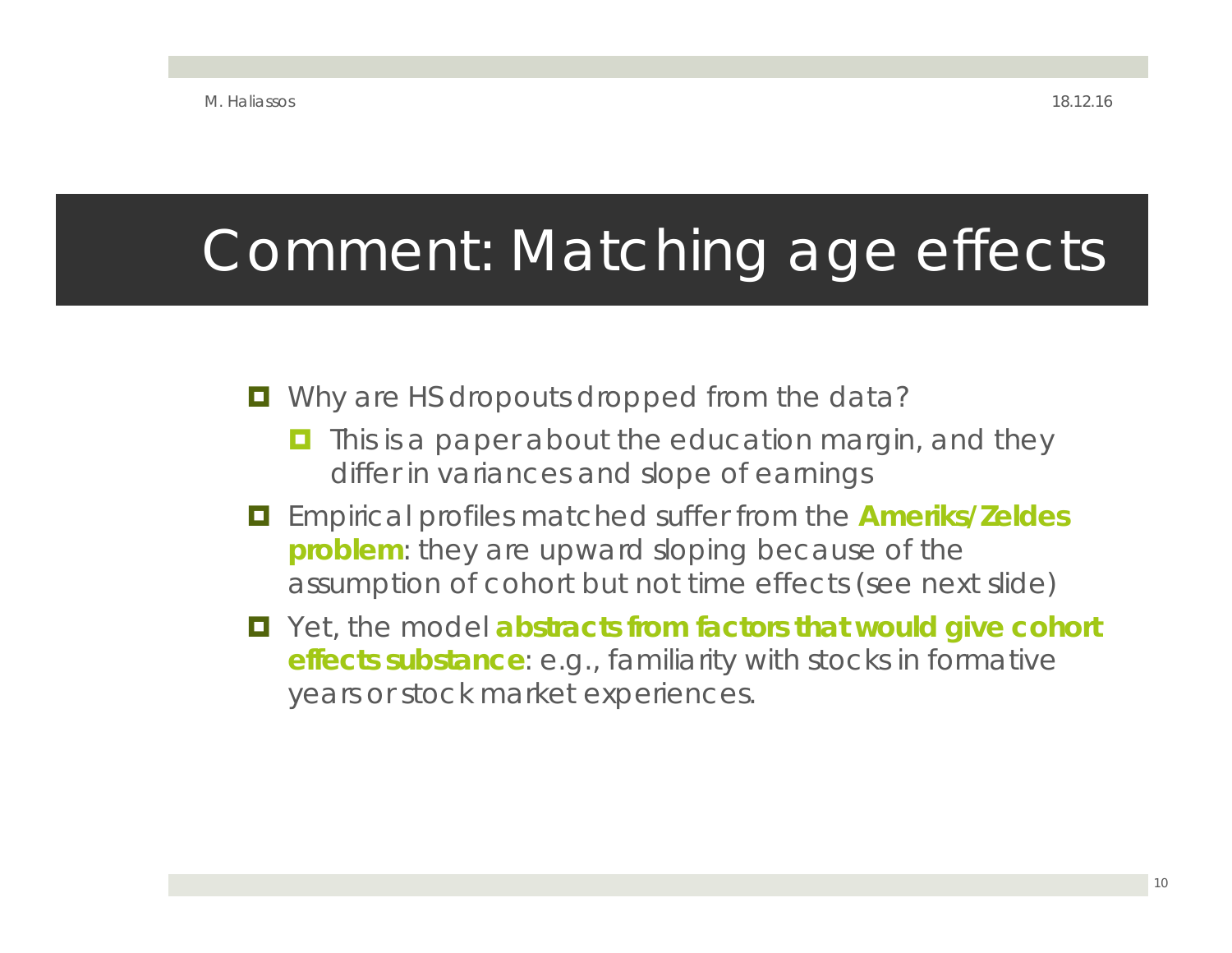# Comment: Matching age effects

#### **D** Why are HS dropouts dropped from the data?

- O This is a paper about the education margin, and they differ in variances and slope of earnings
- Empirical profiles matched suffer from the **Ameriks/Zeldes problem**: they are upward sloping because of the assumption of cohort but not time effects (see next slide)
- Yet, the model **abstracts from factors that would give cohort effects substance**: e.g., familiarity with stocks in formative years or stock market experiences.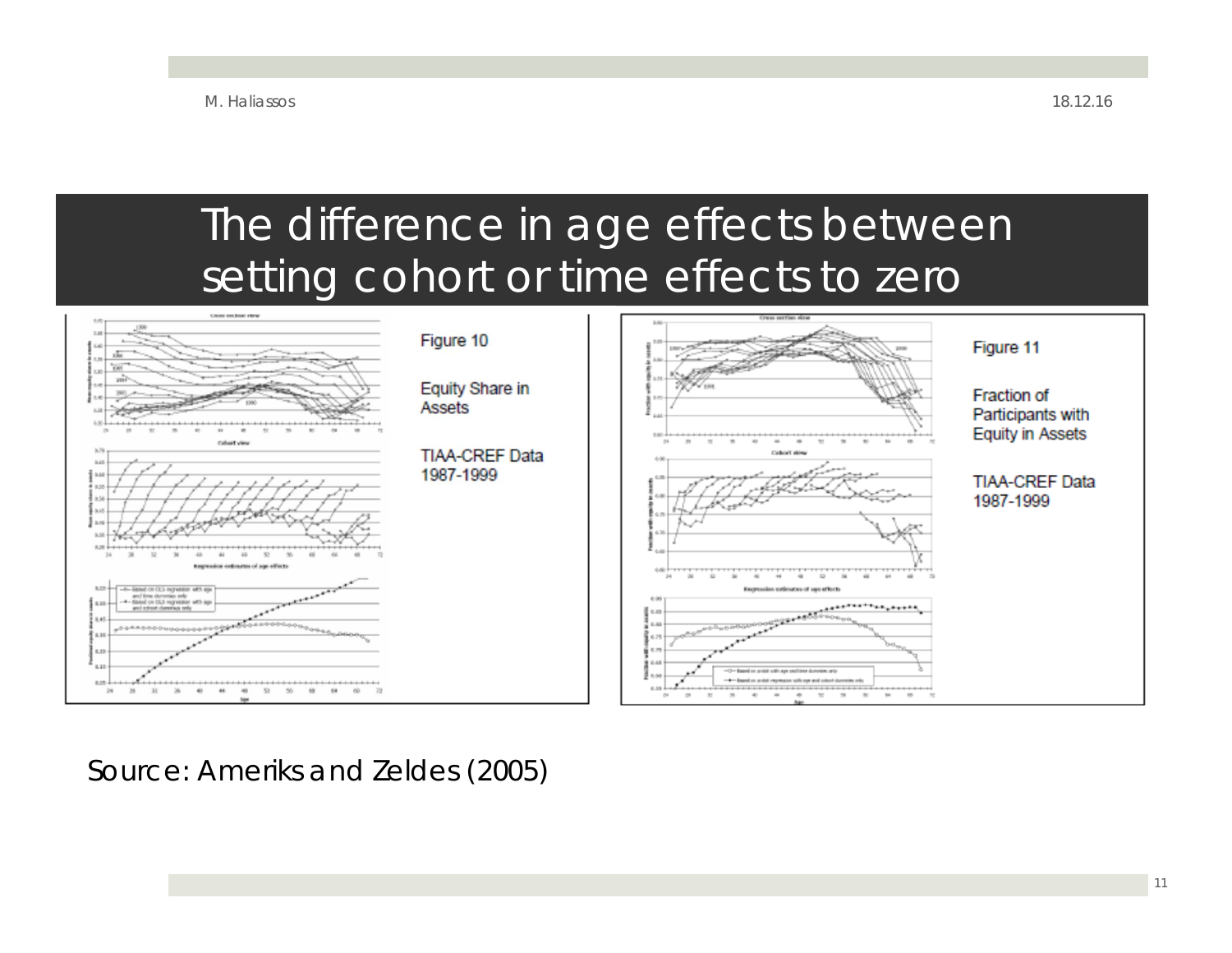### The difference in age effects between setting cohort or time effects to zero



Source: Ameriks and Zeldes (2005)